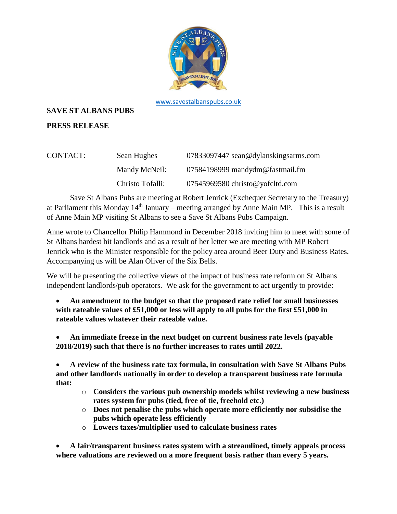

[www.savestalbanspubs.co.uk](http://www.savestalbanspubs.co.uk/)

## **SAVE ST ALBANS PUBS**

## **PRESS RELEASE**

| CONTACT: | Sean Hughes      | 07833097447 sean@dylanskingsarms.com |
|----------|------------------|--------------------------------------|
|          | Mandy McNeil:    | $07584198999$ mandydm@fastmail.fm    |
|          | Christo Tofalli: | $07545969580$ christo@yofcltd.com    |

Save St Albans Pubs are meeting at Robert Jenrick (Exchequer Secretary to the Treasury) at Parliament this Monday 14<sup>th</sup> January – meeting arranged by Anne Main MP. This is a result of Anne Main MP visiting St Albans to see a Save St Albans Pubs Campaign.

Anne wrote to Chancellor Philip Hammond in December 2018 inviting him to meet with some of St Albans hardest hit landlords and as a result of her letter we are meeting with MP Robert Jenrick who is the Minister responsible for the policy area around Beer Duty and Business Rates. Accompanying us will be Alan Oliver of the Six Bells.

We will be presenting the collective views of the impact of business rate reform on St Albans independent landlords/pub operators. We ask for the government to act urgently to provide:

• **An amendment to the budget so that the proposed rate relief for small businesses with rateable values of £51,000 or less will apply to all pubs for the first £51,000 in rateable values whatever their rateable value.**

• **An immediate freeze in the next budget on current business rate levels (payable 2018/2019) such that there is no further increases to rates until 2022.**

• **A review of the business rate tax formula, in consultation with Save St Albans Pubs and other landlords nationally in order to develop a transparent business rate formula that:**

- o **Considers the various pub ownership models whilst reviewing a new business rates system for pubs (tied, free of tie, freehold etc.)**
- o **Does not penalise the pubs which operate more efficiently nor subsidise the pubs which operate less efficiently**
- o **Lowers taxes/multiplier used to calculate business rates**

• **A fair/transparent business rates system with a streamlined, timely appeals process where valuations are reviewed on a more frequent basis rather than every 5 years.**